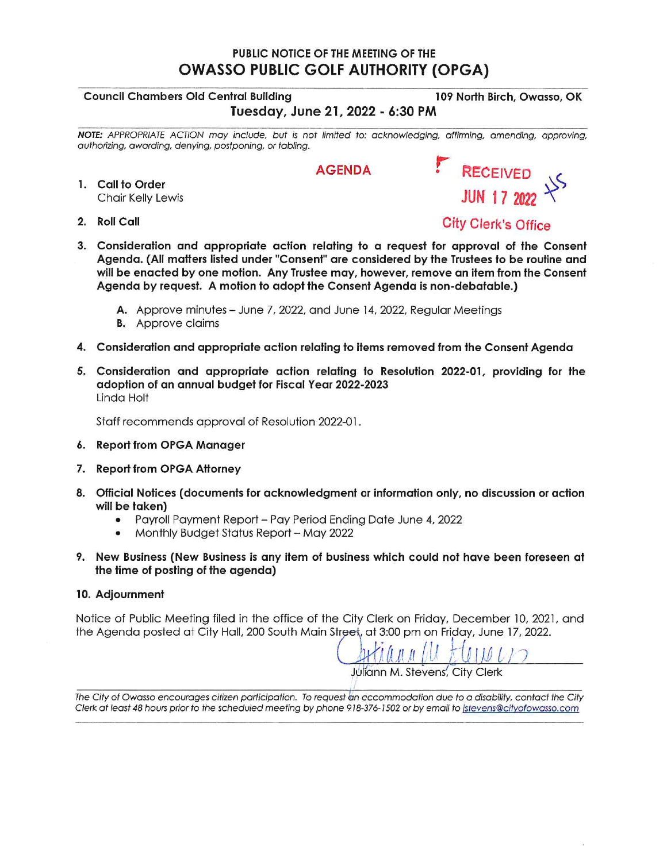## PUBLIC NOTICE OF THE MEETING OF THE **OWASSO PUBLIC GOLF AUTHORITY (OPGA)**

## **Council Chambers Old Central Building**

Tuesday, June 21, 2022 - 6:30 PM

NOTE: APPROPRIATE ACTION may include, but is not limited to: acknowledging, affirming, amending, approving, authorizing, awarding, denying, postponing, or tabling.

**AGENDA** 

- 1. Call to Order Chair Kelly Lewis
- 2. Roll Call

**City Clerk's Office** 

- 3. Consideration and appropriate action relating to a request for approval of the Consent Agenda. (All matters listed under "Consent" are considered by the Trustees to be routine and will be enacted by one motion. Any Trustee may, however, remove an item from the Consent Agenda by request. A motion to adopt the Consent Agenda is non-debatable.)
	- A. Approve minutes June 7, 2022, and June 14, 2022, Regular Meetings
	- **B.** Approve claims
- 4. Consideration and appropriate action relating to items removed from the Consent Agenda
- 5. Consideration and appropriate action relating to Resolution 2022-01, providing for the adoption of an annual budget for Fiscal Year 2022-2023 Linda Holt

Staff recommends approval of Resolution 2022-01.

- 6. Report from OPGA Manager
- 7. Report from OPGA Attorney
- 8. Official Notices (documents for acknowledgment or information only, no discussion or action will be taken)
	- Payroll Payment Report Pay Period Ending Date June 4, 2022
	- Monthly Budget Status Report May 2022  $\bullet$
- 9. New Business (New Business is any item of business which could not have been foreseen at the time of posting of the agenda)

## 10. Adjournment

Notice of Public Meeting filed in the office of the City Clerk on Friday, December 10, 2021, and the Agenda posted at City Hall, 200 South Main Street, at 3:00 pm on Friday, June 17, 2022.

 $\left( \begin{array}{cc} 1 & 0 \\ 0 & 0 \end{array} \right)$  $111117$ 

Juliann M. Stevens, City Clerk

The City of Owasso encourages citizen participation. To request an accommodation due to a disability, contact the City Clerk at least 48 hours prior to the scheduled meeting by phone 918-376-1502 or by email to istevens@cityofowasso.com

RECEIVED JUN 17 2022  $\pm$ 

109 North Birch, Owasso, OK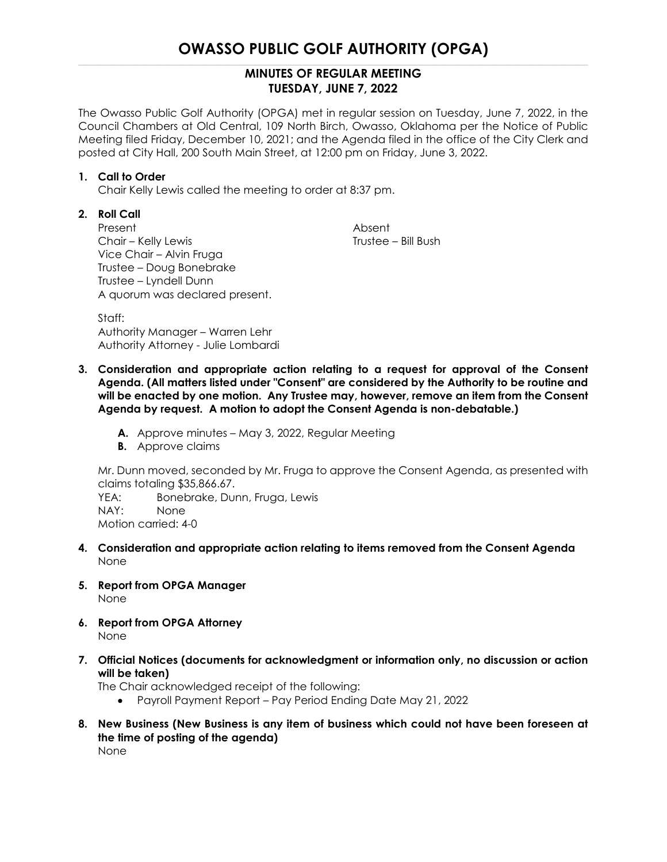## **OWASSO PUBLIC GOLF AUTHORITY (OPGA)**

## **MINUTES OF REGULAR MEETING TUESDAY, JUNE 7, 2022**

The Owasso Public Golf Authority (OPGA) met in regular session on Tuesday, June 7, 2022, in the Council Chambers at Old Central, 109 North Birch, Owasso, Oklahoma per the Notice of Public Meeting filed Friday, December 10, 2021; and the Agenda filed in the office of the City Clerk and posted at City Hall, 200 South Main Street, at 12:00 pm on Friday, June 3, 2022.

### **1. Call to Order**

Chair Kelly Lewis called the meeting to order at 8:37 pm.

## **2. Roll Call**

Present **Absent** Chair – Kelly Lewis Trustee – Bill Bush Vice Chair – Alvin Fruga Trustee – Doug Bonebrake Trustee – Lyndell Dunn A quorum was declared present.

Staff: Authority Manager – Warren Lehr Authority Attorney - Julie Lombardi

- **3. Consideration and appropriate action relating to a request for approval of the Consent Agenda. (All matters listed under "Consent" are considered by the Authority to be routine and will be enacted by one motion. Any Trustee may, however, remove an item from the Consent Agenda by request. A motion to adopt the Consent Agenda is non-debatable.)**
	- **A.** Approve minutes May 3, 2022, Regular Meeting
	- **B.** Approve claims

Mr. Dunn moved, seconded by Mr. Fruga to approve the Consent Agenda, as presented with claims totaling \$35,866.67.

YEA: Bonebrake, Dunn, Fruga, Lewis NAY: None Motion carried: 4-0

- **4. Consideration and appropriate action relating to items removed from the Consent Agenda** None
- **5. Report from OPGA Manager** None
- **6. Report from OPGA Attorney** None
- **7. Official Notices (documents for acknowledgment or information only, no discussion or action will be taken)**

The Chair acknowledged receipt of the following:

- Payroll Payment Report Pay Period Ending Date May 21, 2022
- **8. New Business (New Business is any item of business which could not have been foreseen at the time of posting of the agenda)** None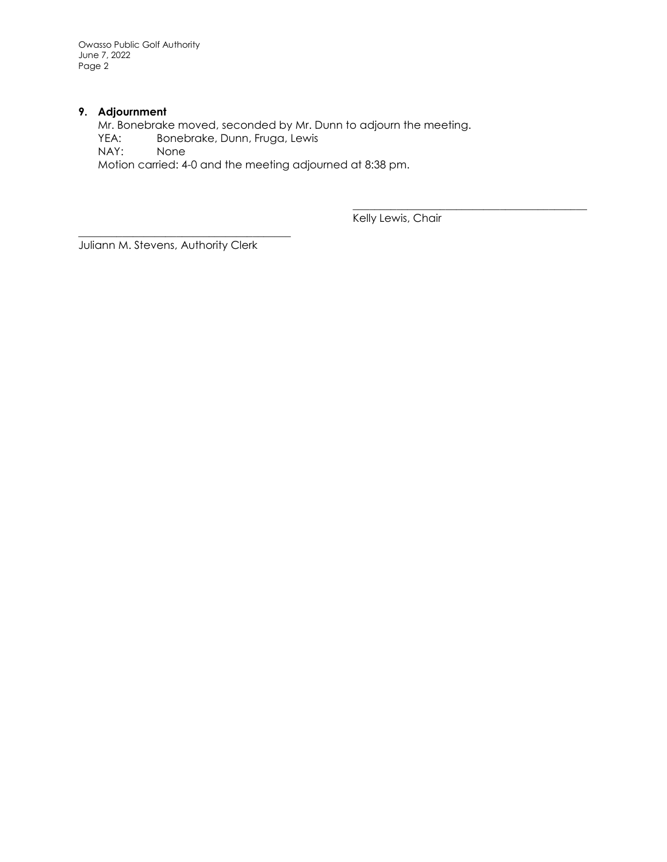Owasso Public Golf Authority June 7, 2022 Page 2

### **9. Adjournment**

Mr. Bonebrake moved, seconded by Mr. Dunn to adjourn the meeting. YEA: Bonebrake, Dunn, Fruga, Lewis NAY: None Motion carried: 4-0 and the meeting adjourned at 8:38 pm.

Kelly Lewis, Chair

\_\_\_\_\_\_\_\_\_\_\_\_\_\_\_\_\_\_\_\_\_\_\_\_\_\_\_\_\_\_\_\_\_\_\_\_\_\_\_\_\_\_\_

Juliann M. Stevens, Authority Clerk

\_\_\_\_\_\_\_\_\_\_\_\_\_\_\_\_\_\_\_\_\_\_\_\_\_\_\_\_\_\_\_\_\_\_\_\_\_\_\_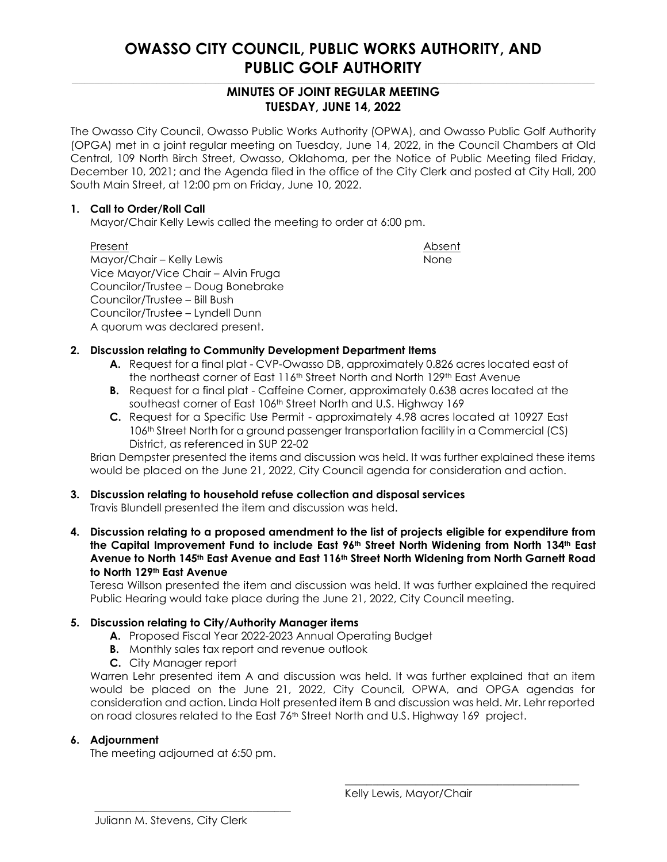## **OWASSO CITY COUNCIL, PUBLIC WORKS AUTHORITY, AND PUBLIC GOLF AUTHORITY**

## **MINUTES OF JOINT REGULAR MEETING TUESDAY, JUNE 14, 2022**

The Owasso City Council, Owasso Public Works Authority (OPWA), and Owasso Public Golf Authority (OPGA) met in a joint regular meeting on Tuesday, June 14, 2022, in the Council Chambers at Old Central, 109 North Birch Street, Owasso, Oklahoma, per the Notice of Public Meeting filed Friday, December 10, 2021; and the Agenda filed in the office of the City Clerk and posted at City Hall, 200 South Main Street, at 12:00 pm on Friday, June 10, 2022.

### **1. Call to Order/Roll Call**

Mayor/Chair Kelly Lewis called the meeting to order at 6:00 pm.

Present Absent Absent Absent Absent Absent Absent Absent Absent Absent Absent Absent Absent Absent Absent Absent Mayor/Chair – Kelly Lewis None Vice Mayor/Vice Chair – Alvin Fruga Councilor/Trustee – Doug Bonebrake Councilor/Trustee – Bill Bush Councilor/Trustee – Lyndell Dunn A quorum was declared present.

## **2. Discussion relating to Community Development Department Items**

- **A.** Request for a final plat CVP-Owasso DB, approximately 0.826 acres located east of the northeast corner of East 116th Street North and North 129th East Avenue
- **B.** Request for a final plat Caffeine Corner, approximately 0.638 acres located at the southeast corner of East 106<sup>th</sup> Street North and U.S. Highway 169
- **C.** Request for a Specific Use Permit approximately 4.98 acres located at 10927 East 106th Street North for a ground passenger transportation facility in a Commercial (CS) District, as referenced in SUP 22-02

Brian Dempster presented the items and discussion was held. It was further explained these items would be placed on the June 21, 2022, City Council agenda for consideration and action.

## **3. Discussion relating to household refuse collection and disposal services**

Travis Blundell presented the item and discussion was held.

**4. Discussion relating to a proposed amendment to the list of projects eligible for expenditure from the Capital Improvement Fund to include East 96th Street North Widening from North 134th East Avenue to North 145th East Avenue and East 116th Street North Widening from North Garnett Road to North 129th East Avenue**

Teresa Willson presented the item and discussion was held. It was further explained the required Public Hearing would take place during the June 21, 2022, City Council meeting.

## **5. Discussion relating to City/Authority Manager items**

- **A.** Proposed Fiscal Year 2022-2023 Annual Operating Budget
- **B.** Monthly sales tax report and revenue outlook
- **C.** City Manager report

Warren Lehr presented item A and discussion was held. It was further explained that an item would be placed on the June 21, 2022, City Council, OPWA, and OPGA agendas for consideration and action. Linda Holt presented item B and discussion was held. Mr. Lehr reported on road closures related to the East 76th Street North and U.S. Highway 169 project.

## **6. Adjournment**

The meeting adjourned at 6:50 pm.

Kelly Lewis, Mayor/Chair

\_\_\_\_\_\_\_\_\_\_\_\_\_\_\_\_\_\_\_\_\_\_\_\_\_\_\_\_\_\_\_\_\_\_\_\_\_\_\_\_\_\_\_

 $\frac{1}{\sqrt{2}}$  ,  $\frac{1}{\sqrt{2}}$  ,  $\frac{1}{\sqrt{2}}$  ,  $\frac{1}{\sqrt{2}}$  ,  $\frac{1}{\sqrt{2}}$  ,  $\frac{1}{\sqrt{2}}$  ,  $\frac{1}{\sqrt{2}}$  ,  $\frac{1}{\sqrt{2}}$  ,  $\frac{1}{\sqrt{2}}$  ,  $\frac{1}{\sqrt{2}}$  ,  $\frac{1}{\sqrt{2}}$  ,  $\frac{1}{\sqrt{2}}$  ,  $\frac{1}{\sqrt{2}}$  ,  $\frac{1}{\sqrt{2}}$  ,  $\frac{1}{\sqrt{2}}$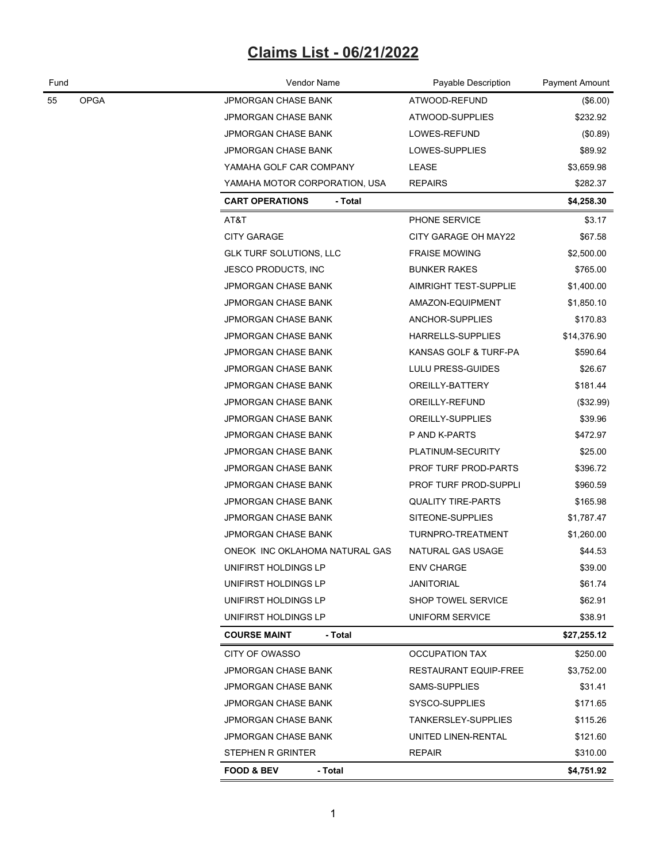# **Claims List - 06/21/2022**

| Fund              | Vendor Name                       | Payable Description          | Payment Amount |
|-------------------|-----------------------------------|------------------------------|----------------|
| <b>OPGA</b><br>55 | JPMORGAN CHASE BANK               | ATWOOD-REFUND                | (\$6.00)       |
|                   | JPMORGAN CHASE BANK               | ATWOOD-SUPPLIES              | \$232.92       |
|                   | JPMORGAN CHASE BANK               | LOWES-REFUND                 | (\$0.89)       |
|                   | JPMORGAN CHASE BANK               | LOWES-SUPPLIES               | \$89.92        |
|                   | YAMAHA GOLF CAR COMPANY           | LEASE                        | \$3,659.98     |
|                   | YAMAHA MOTOR CORPORATION, USA     | <b>REPAIRS</b>               | \$282.37       |
|                   | <b>CART OPERATIONS</b><br>- Total |                              | \$4,258.30     |
|                   | AT&T                              | PHONE SERVICE                | \$3.17         |
|                   | <b>CITY GARAGE</b>                | CITY GARAGE OH MAY22         | \$67.58        |
|                   | <b>GLK TURF SOLUTIONS, LLC</b>    | <b>FRAISE MOWING</b>         | \$2,500.00     |
|                   | <b>JESCO PRODUCTS, INC</b>        | <b>BUNKER RAKES</b>          | \$765.00       |
|                   | JPMORGAN CHASE BANK               | <b>AIMRIGHT TEST-SUPPLIE</b> | \$1,400.00     |
|                   | JPMORGAN CHASE BANK               | AMAZON-EQUIPMENT             | \$1,850.10     |
|                   | JPMORGAN CHASE BANK               | ANCHOR-SUPPLIES              | \$170.83       |
|                   | <b>JPMORGAN CHASE BANK</b>        | <b>HARRELLS-SUPPLIES</b>     | \$14,376.90    |
|                   | JPMORGAN CHASE BANK               | KANSAS GOLF & TURF-PA        | \$590.64       |
|                   | JPMORGAN CHASE BANK               | LULU PRESS-GUIDES            | \$26.67        |
|                   | JPMORGAN CHASE BANK               | OREILLY-BATTERY              | \$181.44       |
|                   | JPMORGAN CHASE BANK               | OREILLY-REFUND               | (\$32.99)      |
|                   | JPMORGAN CHASE BANK               | OREILLY-SUPPLIES             | \$39.96        |
|                   | JPMORGAN CHASE BANK               | P AND K-PARTS                | \$472.97       |
|                   | JPMORGAN CHASE BANK               | PLATINUM-SECURITY            | \$25.00        |
|                   | JPMORGAN CHASE BANK               | PROF TURF PROD-PARTS         | \$396.72       |
|                   | JPMORGAN CHASE BANK               | PROF TURF PROD-SUPPLI        | \$960.59       |
|                   | JPMORGAN CHASE BANK               | <b>QUALITY TIRE-PARTS</b>    | \$165.98       |
|                   | JPMORGAN CHASE BANK               | SITEONE-SUPPLIES             | \$1,787.47     |
|                   | JPMORGAN CHASE BANK               | TURNPRO-TREATMENT            | \$1,260.00     |
|                   | ONEOK INC OKLAHOMA NATURAL GAS    | NATURAL GAS USAGE            | \$44.53        |
|                   | UNIFIRST HOLDINGS LP              | <b>ENV CHARGE</b>            | \$39.00        |
|                   | UNIFIRST HOLDINGS LP              | <b>JANITORIAL</b>            | \$61.74        |
|                   | UNIFIRST HOLDINGS LP              | SHOP TOWEL SERVICE           | \$62.91        |
|                   | UNIFIRST HOLDINGS LP              | UNIFORM SERVICE              | \$38.91        |
|                   | <b>COURSE MAINT</b><br>- Total    |                              | \$27,255.12    |
|                   | CITY OF OWASSO                    | <b>OCCUPATION TAX</b>        | \$250.00       |
|                   | JPMORGAN CHASE BANK               | <b>RESTAURANT EQUIP-FREE</b> | \$3,752.00     |
|                   | JPMORGAN CHASE BANK               | SAMS-SUPPLIES                | \$31.41        |
|                   | <b>JPMORGAN CHASE BANK</b>        | SYSCO-SUPPLIES               | \$171.65       |
|                   | JPMORGAN CHASE BANK               | TANKERSLEY-SUPPLIES          | \$115.26       |
|                   | JPMORGAN CHASE BANK               | UNITED LINEN-RENTAL          | \$121.60       |
|                   | STEPHEN R GRINTER                 | <b>REPAIR</b>                | \$310.00       |
|                   | - Total<br><b>FOOD &amp; BEV</b>  |                              | \$4,751.92     |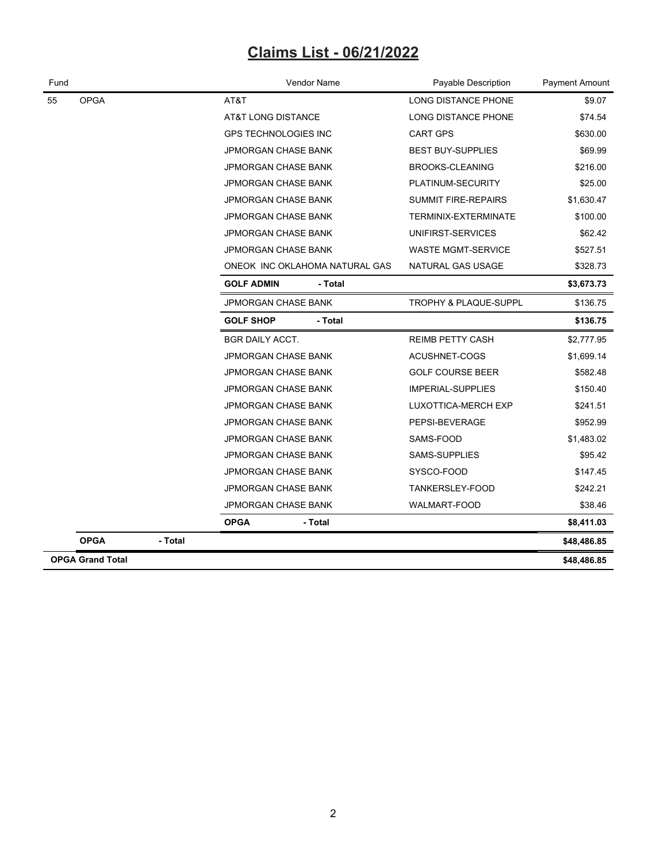## **Claims List - 06/21/2022**

| Fund |                         |         | Vendor Name                    |                        | Payable Description        | Payment Amount |
|------|-------------------------|---------|--------------------------------|------------------------|----------------------------|----------------|
| 55   | <b>OPGA</b>             |         | AT&T                           |                        | <b>LONG DISTANCE PHONE</b> | \$9.07         |
|      |                         |         | AT&T LONG DISTANCE             |                        | LONG DISTANCE PHONE        | \$74.54        |
|      |                         |         | <b>GPS TECHNOLOGIES INC</b>    | \$630.00               |                            |                |
|      |                         |         | JPMORGAN CHASE BANK            |                        | <b>BEST BUY-SUPPLIES</b>   | \$69.99        |
|      |                         |         | JPMORGAN CHASE BANK            | <b>BROOKS-CLEANING</b> |                            | \$216.00       |
|      |                         |         | <b>JPMORGAN CHASE BANK</b>     | \$25.00                |                            |                |
|      |                         |         | <b>JPMORGAN CHASE BANK</b>     | \$1,630.47             |                            |                |
|      |                         |         | JPMORGAN CHASE BANK            | TERMINIX-EXTERMINATE   | \$100.00                   |                |
|      |                         |         | <b>JPMORGAN CHASE BANK</b>     |                        | UNIFIRST-SERVICES          | \$62.42        |
|      |                         |         | <b>JPMORGAN CHASE BANK</b>     |                        | <b>WASTE MGMT-SERVICE</b>  | \$527.51       |
|      |                         |         | ONEOK INC OKLAHOMA NATURAL GAS | \$328.73               |                            |                |
|      |                         |         | <b>GOLF ADMIN</b>              | - Total                |                            | \$3,673.73     |
|      |                         |         | <b>JPMORGAN CHASE BANK</b>     |                        | TROPHY & PLAQUE-SUPPL      | \$136.75       |
|      |                         |         | <b>GOLF SHOP</b>               | - Total                |                            | \$136.75       |
|      |                         |         | <b>BGR DAILY ACCT.</b>         |                        | <b>REIMB PETTY CASH</b>    | \$2,777.95     |
|      |                         |         | <b>JPMORGAN CHASE BANK</b>     |                        | ACUSHNET-COGS              | \$1,699.14     |
|      |                         |         | <b>JPMORGAN CHASE BANK</b>     |                        | <b>GOLF COURSE BEER</b>    | \$582.48       |
|      |                         |         | <b>JPMORGAN CHASE BANK</b>     |                        | <b>IMPERIAL-SUPPLIES</b>   | \$150.40       |
|      |                         |         | JPMORGAN CHASE BANK            |                        | LUXOTTICA-MERCH EXP        | \$241.51       |
|      |                         |         | <b>JPMORGAN CHASE BANK</b>     |                        | PEPSI-BEVERAGE             | \$952.99       |
|      |                         |         | JPMORGAN CHASE BANK            |                        | SAMS-FOOD                  | \$1,483.02     |
|      |                         |         | JPMORGAN CHASE BANK            |                        | SAMS-SUPPLIES              | \$95.42        |
|      |                         |         | <b>JPMORGAN CHASE BANK</b>     |                        | SYSCO-FOOD                 | \$147.45       |
|      |                         |         | <b>JPMORGAN CHASE BANK</b>     |                        | TANKERSLEY-FOOD            | \$242.21       |
|      |                         |         | JPMORGAN CHASE BANK            |                        | WALMART-FOOD               | \$38.46        |
|      |                         |         | <b>OPGA</b><br>- Total         |                        |                            | \$8,411.03     |
|      | <b>OPGA</b>             | - Total |                                |                        |                            | \$48,486.85    |
|      | <b>OPGA Grand Total</b> |         |                                |                        |                            | \$48,486.85    |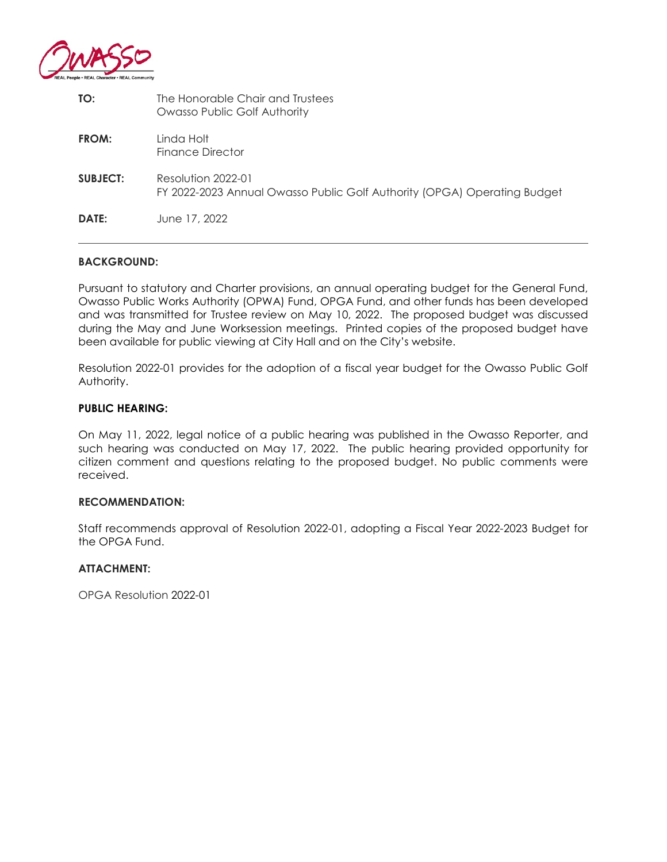

| TO:             | The Honorable Chair and Trustees<br>Owasso Public Golf Authority                               |
|-----------------|------------------------------------------------------------------------------------------------|
| FROM:           | Linda Holt<br>Finance Director                                                                 |
| <b>SUBJECT:</b> | Resolution 2022-01<br>FY 2022-2023 Annual Owasso Public Golf Authority (OPGA) Operating Budget |
| <b>DATE:</b>    | June 17, 2022                                                                                  |

#### **BACKGROUND:**

Pursuant to statutory and Charter provisions, an annual operating budget for the General Fund, Owasso Public Works Authority (OPWA) Fund, OPGA Fund, and other funds has been developed and was transmitted for Trustee review on May 10, 2022. The proposed budget was discussed during the May and June Worksession meetings. Printed copies of the proposed budget have been available for public viewing at City Hall and on the City's website.

Resolution 2022-01 provides for the adoption of a fiscal year budget for the Owasso Public Golf Authority.

#### **PUBLIC HEARING:**

On May 11, 2022, legal notice of a public hearing was published in the Owasso Reporter, and such hearing was conducted on May 17, 2022. The public hearing provided opportunity for citizen comment and questions relating to the proposed budget. No public comments were received.

#### **RECOMMENDATION:**

Staff recommends approval of Resolution 2022-01, adopting a Fiscal Year 2022-2023 Budget for the OPGA Fund.

#### **ATTACHMENT:**

OPGA Resolution 2022-01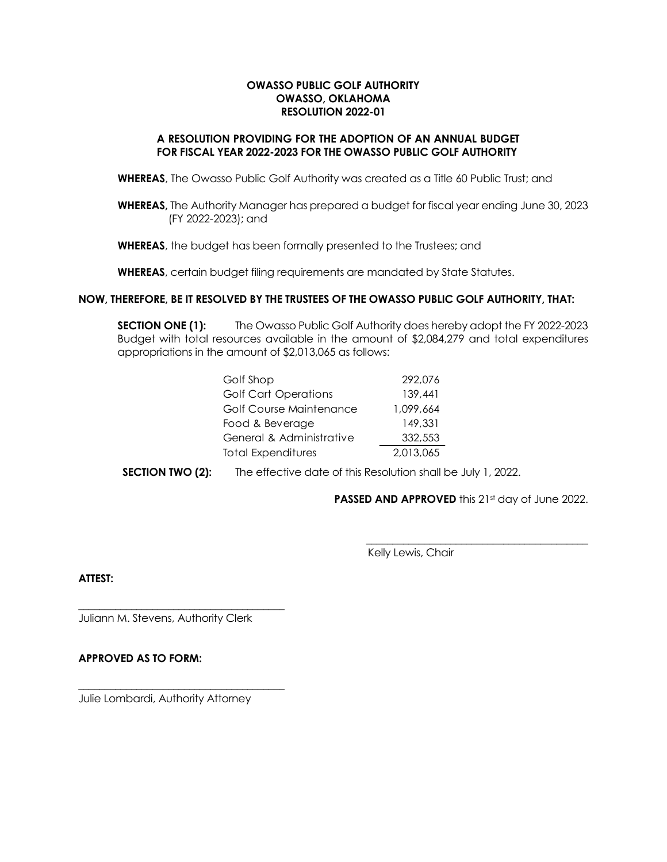#### **OWASSO PUBLIC GOLF AUTHORITY OWASSO, OKLAHOMA RESOLUTION 2022-01**

#### **A RESOLUTION PROVIDING FOR THE ADOPTION OF AN ANNUAL BUDGET FOR FISCAL YEAR 2022-2023 FOR THE OWASSO PUBLIC GOLF AUTHORITY**

**WHEREAS**, The Owasso Public Golf Authority was created as a Title 60 Public Trust; and

**WHEREAS,** The Authority Manager has prepared a budget for fiscal year ending June 30, 2023 (FY 2022-2023); and

**WHEREAS**, the budget has been formally presented to the Trustees; and

**WHEREAS**, certain budget filing requirements are mandated by State Statutes.

#### **NOW, THEREFORE, BE IT RESOLVED BY THE TRUSTEES OF THE OWASSO PUBLIC GOLF AUTHORITY, THAT:**

**SECTION ONE (1):** The Owasso Public Golf Authority does hereby adopt the FY 2022-2023 Budget with total resources available in the amount of \$2,084,279 and total expenditures appropriations in the amount of \$2,013,065 as follows:

| Golf Shop                   | 292,076   |
|-----------------------------|-----------|
| <b>Golf Cart Operations</b> | 139,441   |
| Golf Course Maintenance     | 1,099,664 |
| Food & Beverage             | 149,331   |
| General & Administrative    | 332,553   |
| <b>Total Expenditures</b>   | 2,013,065 |

**SECTION TWO (2):** The effective date of this Resolution shall be July 1, 2022.

**PASSED AND APPROVED** this 21st day of June 2022.

 $\frac{1}{2}$  , and the set of the set of the set of the set of the set of the set of the set of the set of the set of the set of the set of the set of the set of the set of the set of the set of the set of the set of the set

Kelly Lewis, Chair

**ATTEST:**

Juliann M. Stevens, Authority Clerk

\_\_\_\_\_\_\_\_\_\_\_\_\_\_\_\_\_\_\_\_\_\_\_\_\_\_\_\_\_\_\_\_\_\_\_\_\_\_\_

\_\_\_\_\_\_\_\_\_\_\_\_\_\_\_\_\_\_\_\_\_\_\_\_\_\_\_\_\_\_\_\_\_\_\_\_\_\_\_

#### **APPROVED AS TO FORM:**

Julie Lombardi, Authority Attorney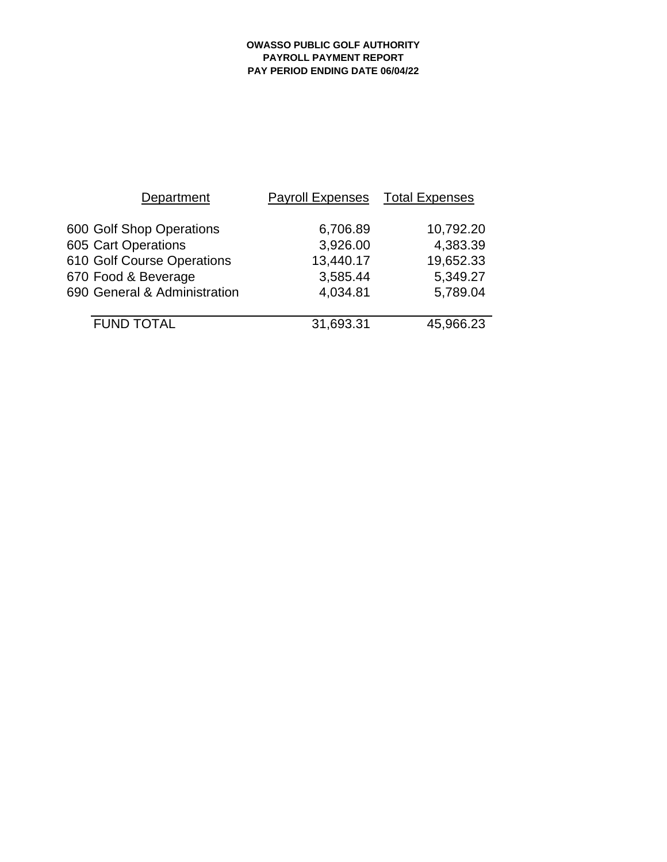#### **OWASSO PUBLIC GOLF AUTHORITY PAYROLL PAYMENT REPORT PAY PERIOD ENDING DATE 06/04/22**

| Department                   | <b>Payroll Expenses</b> | <b>Total Expenses</b> |  |  |
|------------------------------|-------------------------|-----------------------|--|--|
| 600 Golf Shop Operations     | 6,706.89                | 10,792.20             |  |  |
| 605 Cart Operations          | 3,926.00                | 4,383.39              |  |  |
| 610 Golf Course Operations   | 13,440.17               | 19,652.33             |  |  |
| 670 Food & Beverage          | 3,585.44                | 5,349.27              |  |  |
| 690 General & Administration | 4,034.81                | 5,789.04              |  |  |
|                              |                         |                       |  |  |
| <b>FUND TOTAL</b>            | 31,693.31               | 45,966.23             |  |  |